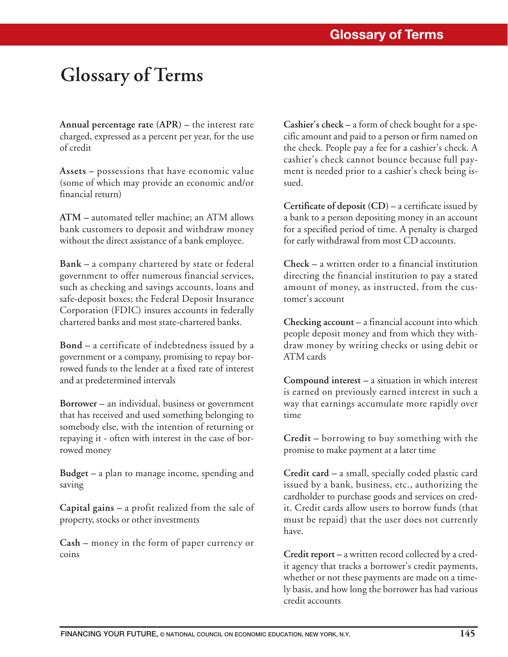## **Glossary of Terms**

**Annual percentage rate (APR) –** the interest rate charged, expressed as a percent per year, for the use of credit

**Assets –** possessions that have economic value (some of which may provide an economic and/or financial return)

**ATM –** automated teller machine; an ATM allows bank customers to deposit and withdraw money without the direct assistance of a bank employee.

**Bank –** a company chartered by state or federal government to offer numerous financial services, such as checking and savings accounts, loans and safe-deposit boxes; the Federal Deposit Insurance Corporation (FDIC) insures accounts in federally chartered banks and most state-chartered banks.

**Bond –** a certificate of indebtedness issued by a government or a company, promising to repay borrowed funds to the lender at a fixed rate of interest and at predetermined intervals

**Borrower –** an individual, business or government that has received and used something belonging to somebody else, with the intention of returning or repaying it - often with interest in the case of borrowed money

**Budget –** a plan to manage income, spending and saving

**Capital gains –** a profit realized from the sale of property, stocks or other investments

**Cash –** money in the form of paper currency or coins

**Cashier's check –** a form of check bought for a specific amount and paid to a person or firm named on the check. People pay a fee for a cashier's check. A cashier's check cannot bounce because full payment is needed prior to a cashier's check being issued.

**Certificate of deposit (CD) –** a certificate issued by a bank to a person depositing money in an account for a specified period of time. A penalty is charged for early withdrawal from most CD accounts.

**Check –** a written order to a financial institution directing the financial institution to pay a stated amount of money, as instructed, from the customer's account

**Checking account –** a financial account into which people deposit money and from which they withdraw money by writing checks or using debit or ATM cards

**Compound interest –** a situation in which interest is earned on previously earned interest in such a way that earnings accumulate more rapidly over time

**Credit –** borrowing to buy something with the promise to make payment at a later time

**Credit card –** a small, specially coded plastic card issued by a bank, business, etc., authorizing the cardholder to purchase goods and services on credit. Credit cards allow users to borrow funds (that must be repaid) that the user does not currently have.

**Credit report –** a written record collected by a credit agency that tracks a borrower's credit payments, whether or not these payments are made on a timely basis, and how long the borrower has had various credit accounts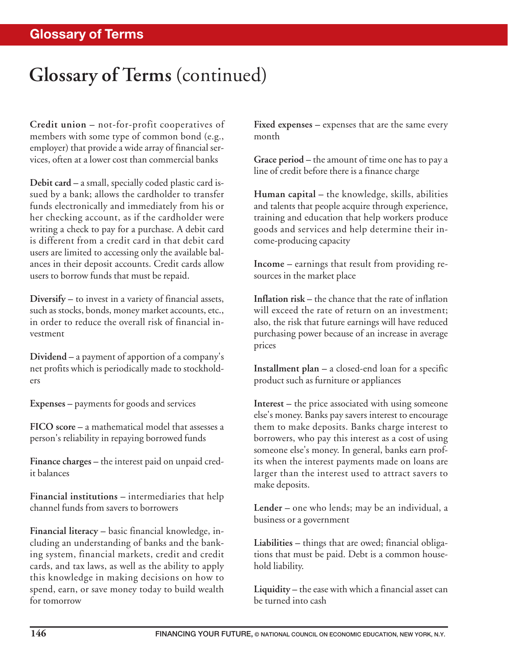## **Glossary of Terms** (continued)

**Credit union –** not-for-profit cooperatives of members with some type of common bond (e.g., employer) that provide a wide array of financial services, often at a lower cost than commercial banks

**Debit card –** a small, specially coded plastic card issued by a bank; allows the cardholder to transfer funds electronically and immediately from his or her checking account, as if the cardholder were writing a check to pay for a purchase. A debit card is different from a credit card in that debit card users are limited to accessing only the available balances in their deposit accounts. Credit cards allow users to borrow funds that must be repaid.

**Diversify –** to invest in a variety of financial assets, such as stocks, bonds, money market accounts, etc., in order to reduce the overall risk of financial investment

**Dividend –** a payment of apportion of a company's net profits which is periodically made to stockholders

**Expenses –** payments for goods and services

**FICO score –** a mathematical model that assesses a person's reliability in repaying borrowed funds

**Finance charges –** the interest paid on unpaid credit balances

**Financial institutions –** intermediaries that help channel funds from savers to borrowers

**Financial literacy –** basic financial knowledge, including an understanding of banks and the banking system, financial markets, credit and credit cards, and tax laws, as well as the ability to apply this knowledge in making decisions on how to spend, earn, or save money today to build wealth for tomorrow

**Fixed expenses –** expenses that are the same every month

**Grace period –** the amount of time one has to pay a line of credit before there is a finance charge

**Human capital –** the knowledge, skills, abilities and talents that people acquire through experience, training and education that help workers produce goods and services and help determine their income-producing capacity

**Income –** earnings that result from providing resources in the market place

**Inflation risk –** the chance that the rate of inflation will exceed the rate of return on an investment; also, the risk that future earnings will have reduced purchasing power because of an increase in average prices

**Installment plan –** a closed-end loan for a specific product such as furniture or appliances

**Interest –** the price associated with using someone else's money. Banks pay savers interest to encourage them to make deposits. Banks charge interest to borrowers, who pay this interest as a cost of using someone else's money. In general, banks earn profits when the interest payments made on loans are larger than the interest used to attract savers to make deposits.

**Lender –** one who lends; may be an individual, a business or a government

**Liabilities –** things that are owed; financial obligations that must be paid. Debt is a common household liability.

**Liquidity –** the ease with which a financial asset can be turned into cash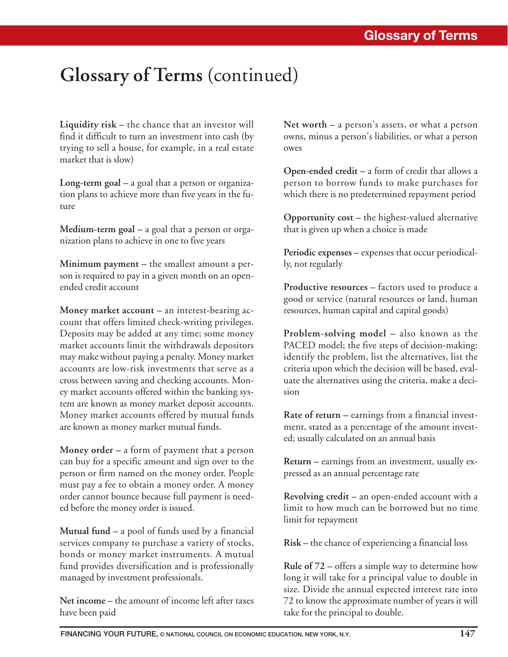## **Glossary of Terms** (continued)

**Liquidity risk –** the chance that an investor will find it difficult to turn an investment into cash (by trying to sell a house, for example, in a real estate market that is slow)

**Long-term goal –** a goal that a person or organization plans to achieve more than five years in the future

**Medium-term goal –** a goal that a person or organization plans to achieve in one to five years

**Minimum payment –** the smallest amount a person is required to pay in a given month on an openended credit account

**Money market account –** an interest-bearing account that offers limited check-writing privileges. Deposits may be added at any time; some money market accounts limit the withdrawals depositors may make without paying a penalty. Money market accounts are low-risk investments that serve as a cross between saving and checking accounts. Money market accounts offered within the banking system are known as money market deposit accounts. Money market accounts offered by mutual funds are known as money market mutual funds.

**Money order –** a form of payment that a person can buy for a specific amount and sign over to the person or firm named on the money order. People must pay a fee to obtain a money order. A money order cannot bounce because full payment is needed before the money order is issued.

**Mutual fund –** a pool of funds used by a financial services company to purchase a variety of stocks, bonds or money market instruments. A mutual fund provides diversification and is professionally managed by investment professionals.

**Net income –** the amount of income left after taxes have been paid

**Net worth –** a person's assets, or what a person owns, minus a person's liabilities, or what a person owes

**Open-ended credit –** a form of credit that allows a person to borrow funds to make purchases for which there is no predetermined repayment period

**Opportunity cost –** the highest-valued alternative that is given up when a choice is made

**Periodic expenses –** expenses that occur periodically, not regularly

**Productive resources –** factors used to produce a good or service (natural resources or land, human resources, human capital and capital goods)

**Problem-solving model –** also known as the PACED model; the five steps of decision-making: identify the problem, list the alternatives, list the criteria upon which the decision will be based, evaluate the alternatives using the criteria, make a decision

**Rate of return –** earnings from a financial investment, stated as a percentage of the amount invested; usually calculated on an annual basis

**Return –** earnings from an investment, usually expressed as an annual percentage rate

**Revolving credit –** an open-ended account with a limit to how much can be borrowed but no time limit for repayment

**Risk –** the chance of experiencing a financial loss

**Rule of 72 –** offers a simple way to determine how long it will take for a principal value to double in size. Divide the annual expected interest rate into 72 to know the approximate number of years it will take for the principal to double.